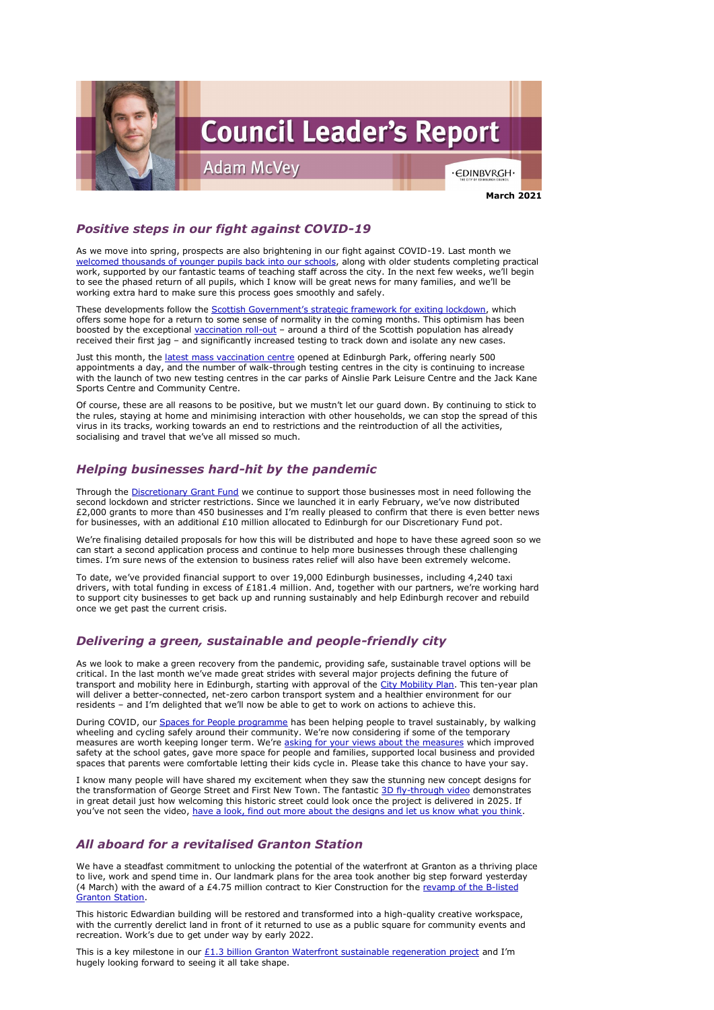

# *Positive steps in our fight against COVID-19*

As we move into spring, prospects are also brightening in our fight against COVID-19. Last month we [welcomed thousands of younger pupils back into our](https://www.edinburgh.gov.uk/news/article/13104/phased-return-for-school-pupils-confirmed) schools, along with older students completing practical work, supported by our fantastic teams of teaching staff across the city. In the next few weeks, we'll begin to see the phased return of all pupils, which I know will be great news for many families, and we'll be working extra hard to make sure this process goes smoothly and safely.

These developments follow the **Scottish Government's strategic framework for exiting lockdown**, which offers some hope for a return to some sense of normality in the coming months. This optimism has been boosted by the exceptional [vaccination roll-out](https://www.gov.scot/collections/coronavirus-covid-19-vaccination/) – around a third of the Scottish population has already received their first jag – and significantly increased testing to track down and isolate any new cases.

Just this month, the *latest mass vaccination centre* opened at Edinburgh Park, offering nearly 500 appointments a day, and the number of walk-through testing centres in the city is continuing to increase with the launch of two new testing centres in the car parks of Ainslie Park Leisure Centre and the Jack Kane Sports Centre and Community Centre.

Of course, these are all reasons to be positive, but we mustn't let our guard down. By continuing to stick to the rules, staying at home and minimising interaction with other households, we can stop the spread of this virus in its tracks, working towards an end to restrictions and the reintroduction of all the activities, socialising and travel that we've all missed so much.

# *Helping businesses hard-hit by the pandemic*

During COVID, our [Spaces for People programme](https://www.edinburgh.gov.uk/spaces-people-1) has been helping people to travel sustainably, by walking wheeling and cycling safely around their community. We're now considering if some of the temporary measures are worth keeping longer term. We're [asking for your views](https://www.edinburgh.gov.uk/roads-travel-parking/street-schemes-proposals/1) about the measures which improved safety at the school gates, gave more space for people and families, supported local business and provided

Through the [Discretionary Grant Fund](https://www.edinburgh.gov.uk/coronavirus-4/businesses-employers/6?documentId=12924&categoryId=20297) we continue to support those businesses most in need following the second lockdown and stricter restrictions. Since we launched it in early February, we've now distributed £2,000 grants to more than 450 businesses and I'm really pleased to confirm that there is even better news for businesses, with an additional £10 million allocated to Edinburgh for our Discretionary Fund pot.

I know many people will have shared my excitement when they saw the stunning new concept designs for the transformation of George Street and First New Town. The fantastic [3D fly-through video](https://www.edinburgh.gov.uk/georgestreet/#vid) demonstrates in great detail just how welcoming this historic street could look once the project is delivered in 2025. If you've not seen the video, [have a look, find out more about the designs and let us know what you think.](https://www.edinburgh.gov.uk/georgestreet/)

We're finalising detailed proposals for how this will be distributed and hope to have these agreed soon so we can start a second application process and continue to help more businesses through these challenging times. I'm sure news of the extension to business rates relief will also have been extremely welcome.

This is a key milestone in our  $E1.3$  billion Granton Waterfront sustainable regeneration project and I'm hugely looking forward to seeing it all take shape.

To date, we've provided financial support to over 19,000 Edinburgh businesses, including 4,240 taxi drivers, with total funding in excess of £181.4 million. And, together with our partners, we're working hard to support city businesses to get back up and running sustainably and help Edinburgh recover and rebuild once we get past the current crisis.

## *Delivering a green, sustainable and people-friendly city*

As we look to make a green recovery from the pandemic, providing safe, sustainable travel options will be critical. In the last month we've made great strides with several major projects defining the future of transport and mobility here in Edinburgh, starting with approval of the [City Mobility Plan.](https://www.edinburgh.gov.uk/citymobilityplan) This ten-year plan will deliver a better-connected, net-zero carbon transport system and a healthier environment for our residents – and I'm delighted that we'll now be able to get to work on actions to achieve this.

spaces that parents were comfortable letting their kids cycle in. Please take this chance to have your say.

#### *All aboard for a revitalised Granton Station*

We have a steadfast commitment to unlocking the potential of the waterfront at Granton as a thriving place to live, work and spend time in. Our landmark plans for the area took another big step forward yesterday (4 March) with the award of a £4.75 million contract to Kier Construction for the revamp of the B-listed [Granton Station.](https://www.edinburgh.gov.uk/news/article/13119/historic-granton-station-set-to-be-restored)

This historic Edwardian building will be restored and transformed into a high-quality creative workspace, with the currently derelict land in front of it returned to use as a public square for community events and recreation. Work's due to get under way by early 2022.